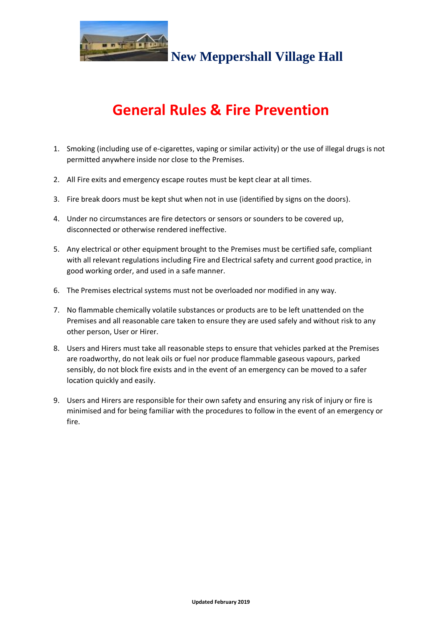

**New Meppershall Village Hall**

## **General Rules & Fire Prevention**

- 1. Smoking (including use of e-cigarettes, vaping or similar activity) or the use of illegal drugs is not permitted anywhere inside nor close to the Premises.
- 2. All Fire exits and emergency escape routes must be kept clear at all times.
- 3. Fire break doors must be kept shut when not in use (identified by signs on the doors).
- 4. Under no circumstances are fire detectors or sensors or sounders to be covered up, disconnected or otherwise rendered ineffective.
- 5. Any electrical or other equipment brought to the Premises must be certified safe, compliant with all relevant regulations including Fire and Electrical safety and current good practice, in good working order, and used in a safe manner.
- 6. The Premises electrical systems must not be overloaded nor modified in any way.
- 7. No flammable chemically volatile substances or products are to be left unattended on the Premises and all reasonable care taken to ensure they are used safely and without risk to any other person, User or Hirer.
- 8. Users and Hirers must take all reasonable steps to ensure that vehicles parked at the Premises are roadworthy, do not leak oils or fuel nor produce flammable gaseous vapours, parked sensibly, do not block fire exists and in the event of an emergency can be moved to a safer location quickly and easily.
- 9. Users and Hirers are responsible for their own safety and ensuring any risk of injury or fire is minimised and for being familiar with the procedures to follow in the event of an emergency or fire.